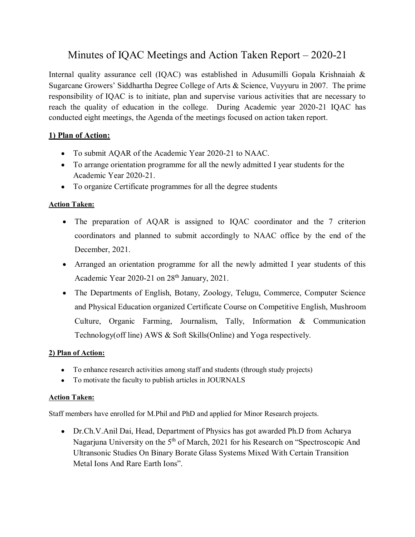# Minutes of IQAC Meetings and Action Taken Report – 2020-21

Internal quality assurance cell (IQAC) was established in Adusumilli Gopala Krishnaiah & Sugarcane Growers' Siddhartha Degree College of Arts & Science, Vuyyuru in 2007. The prime responsibility of IQAC is to initiate, plan and supervise various activities that are necessary to reach the quality of education in the college. During Academic year 2020-21 IQAC has conducted eight meetings, the Agenda of the meetings focused on action taken report.

## **1) Plan of Action:**

- To submit AQAR of the Academic Year 2020-21 to NAAC.
- To arrange orientation programme for all the newly admitted I year students for the Academic Year 2020-21.
- To organize Certificate programmes for all the degree students

#### **Action Taken:**

- The preparation of AQAR is assigned to IQAC coordinator and the 7 criterion coordinators and planned to submit accordingly to NAAC office by the end of the December, 2021.
- Arranged an orientation programme for all the newly admitted I year students of this Academic Year 2020-21 on 28<sup>th</sup> January, 2021.
- The Departments of English, Botany, Zoology, Telugu, Commerce, Computer Science and Physical Education organized Certificate Course on Competitive English, Mushroom Culture, Organic Farming, Journalism, Tally, Information & Communication Technology(off line) AWS & Soft Skills(Online) and Yoga respectively.

#### **2) Plan of Action:**

- To enhance research activities among staff and students (through study projects)
- To motivate the faculty to publish articles in JOURNALS

#### **Action Taken:**

Staff members have enrolled for M.Phil and PhD and applied for Minor Research projects.

Dr.Ch.V.Anil Dai, Head, Department of Physics has got awarded Ph.D from Acharya Nagarjuna University on the 5<sup>th</sup> of March, 2021 for his Research on "Spectroscopic And Ultransonic Studies On Binary Borate Glass Systems Mixed With Certain Transition Metal Ions And Rare Earth Ions".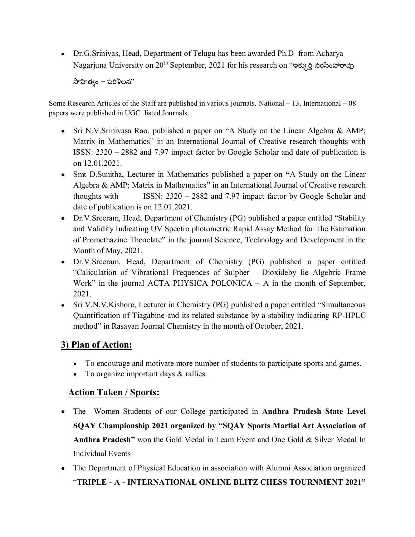Dr.G.Srinivas, Head, Department of Telugu has been awarded Ph.D from Acharya Nagarjuna University on 20<sup>th</sup> September, 2021 for his research on "ఇక్కుర్తి నరసింహారావు

 $\frac{1}{2}$ సాహిత్వం – పరిశీలన $^{\prime\prime}$ 

Some Research Articles of the Staff are published in various journals. National – 13, International – 08 papers were published in UGC listed Journals.

- Sri N.V.Srinivasa Rao, published a paper on "A Study on the Linear Algebra & AMP; Matrix in Mathematics" in an International Journal of Creative research thoughts with ISSN: 2320 – 2882 and 7.97 impact factor by Google Scholar and date of publication is on 12.01.2021.
- Smt D.Sunitha, Lecturer in Mathematics published a paper on **"**A Study on the Linear Algebra & AMP; Matrix in Mathematics" in an International Journal of Creative research thoughts with ISSN: 2320 – 2882 and 7.97 impact factor by Google Scholar and date of publication is on 12.01.2021.
- Dr.V.Sreeram, Head, Department of Chemistry (PG) published a paper entitled "Stability" and Validity Indicating UV Spectro photometric Rapid Assay Method for The Estimation of Promethazine Theoclate" in the journal Science, Technology and Development in the Month of May, 2021.
- Dr.V.Sreeram, Head, Department of Chemistry (PG) published a paper entitled "Caliculation of Vibrational Frequences of Sulpher – Dioxideby lie Algebric Frame Work" in the journal ACTA PHYSICA POLONICA – A in the month of September, 2021.
- Sri V.N.V.Kishore, Lecturer in Chemistry (PG) published a paper entitled "Simultaneous Quantification of Tiagabine and its related substance by a stability indicating RP-HPLC method" in Rasayan Journal Chemistry in the month of October, 2021.

## **3) Plan of Action:**

- To encourage and motivate more number of students to participate sports and games.
- To organize important days & rallies.

## **Action Taken / Sports:**

- The Women Students of our College participated in **Andhra Pradesh State Level SQAY Championship 2021 organized by "SQAY Sports Martial Art Association of Andhra Pradesh"** won the Gold Medal in Team Event and One Gold & Silver Medal In Individual Events
- The Department of Physical Education in association with Alumni Association organized "**TRIPLE - A - INTERNATIONAL ONLINE BLITZ CHESS TOURNMENT 2021"**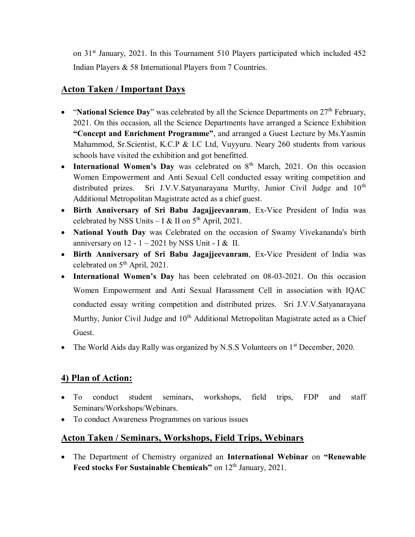on 31st January, 2021. In this Tournament 510 Players participated which included 452 Indian Players & 58 International Players from 7 Countries.

## **Acton Taken / Important Days**

- "**National Science Day**" was celebrated by all the Science Departments on 27<sup>th</sup> February, 2021. On this occasion, all the Science Departments have arranged a Science Exhibition **"Concept and Enrichment Programme"**, and arranged a Guest Lecture by Ms.Yasmin Mahammod, Sr.Scientist, K.C.P & I.C Ltd, Vuyyuru. Neary 260 students from various schools have visited the exhibition and got benefitted.
- International Women's Day was celebrated on 8<sup>th</sup> March, 2021. On this occasion Women Empowerment and Anti Sexual Cell conducted essay writing competition and distributed prizes. Sri J.V.V.Satyanarayana Murthy, Junior Civil Judge and  $10<sup>th</sup>$ Additional Metropolitan Magistrate acted as a chief guest.
- **Birth Anniversary of Sri Babu Jagajjeevanram**, Ex-Vice President of India was celebrated by NSS Units – I & II on  $5<sup>th</sup>$  April, 2021.
- **National Youth Day** was Celebrated on the occasion of Swamy Vivekananda's birth anniversary on  $12 - 1 - 2021$  by NSS Unit - I & II.
- **Birth Anniversary of Sri Babu Jagajjeevanram**, Ex-Vice President of India was celebrated on 5th April, 2021.
- **International Women's Day** has been celebrated on 08-03-2021. On this occasion Women Empowerment and Anti Sexual Harassment Cell in association with IQAC conducted essay writing competition and distributed prizes. Sri J.V.V.Satyanarayana Murthy, Junior Civil Judge and 10<sup>th</sup> Additional Metropolitan Magistrate acted as a Chief Guest.
- The World Aids day Rally was organized by N.S.S Volunteers on  $1<sup>st</sup>$  December, 2020.

## **4) Plan of Action:**

- To conduct student seminars, workshops, field trips, FDP and staff Seminars/Workshops/Webinars.
- To conduct Awareness Programmes on various issues

## **Acton Taken / Seminars, Workshops, Field Trips, Webinars**

The Department of Chemistry organized an **International Webinar** on **"Renewable**  Feed stocks For Sustainable Chemicals" on 12<sup>th</sup> January, 2021.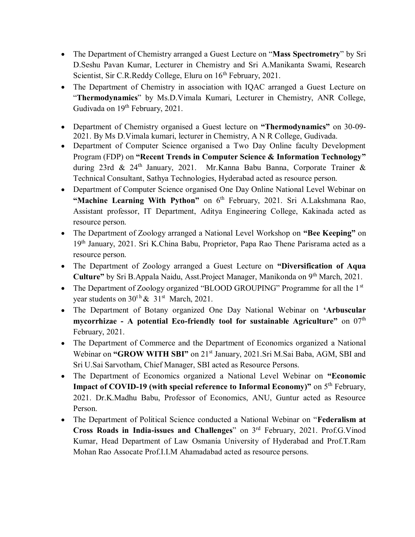- The Department of Chemistry arranged a Guest Lecture on "**Mass Spectrometry**" by Sri D.Seshu Pavan Kumar, Lecturer in Chemistry and Sri A.Manikanta Swami, Research Scientist, Sir C.R.Reddy College, Eluru on 16<sup>th</sup> February, 2021.
- The Department of Chemistry in association with IQAC arranged a Guest Lecture on "**Thermodynamics**" by Ms.D.Vimala Kumari, Lecturer in Chemistry, ANR College, Gudivada on 19<sup>th</sup> February, 2021.
- Department of Chemistry organised a Guest lecture on **"Thermodynamics"** on 30-09- 2021. By Ms D.Vimala kumari, lecturer in Chemistry, A N R College, Gudivada.
- Department of Computer Science organised a Two Day Online faculty Development Program (FDP) on **"Recent Trends in Computer Science & Information Technology"** during 23rd & 24th January, 2021. Mr.Kanna Babu Banna, Corporate Trainer & Technical Consultant, Sathya Technologies, Hyderabad acted as resource person.
- Department of Computer Science organised One Day Online National Level Webinar on "Machine Learning With Python" on 6<sup>th</sup> February, 2021. Sri A.Lakshmana Rao, Assistant professor, IT Department, Aditya Engineering College, Kakinada acted as resource person.
- The Department of Zoology arranged a National Level Workshop on **"Bee Keeping"** on 19th January, 2021. Sri K.China Babu, Proprietor, Papa Rao Thene Parisrama acted as a resource person.
- The Department of Zoology arranged a Guest Lecture on **"Diversification of Aqua Culture"** by Sri B.Appala Naidu, Asst.Project Manager, Manikonda on 9th March, 2021.
- The Department of Zoology organized "BLOOD GROUPING" Programme for all the 1<sup>st</sup> year students on  $30<sup>t h</sup> \& 31<sup>st</sup> March, 2021$ .
- The Department of Botany organized One Day National Webinar on **'Arbuscular mycorrhizae - A potential Eco-friendly tool for sustainable Agriculture"** on 07<sup>th</sup> February, 2021.
- The Department of Commerce and the Department of Economics organized a National Webinar on "GROW WITH SBI" on 21<sup>st</sup> January, 2021.Sri M.Sai Baba, AGM, SBI and Sri U.Sai Sarvotham, Chief Manager, SBI acted as Resource Persons.
- The Department of Economics organized a National Level Webinar on **"Economic Impact of COVID-19 (with special reference to Informal Economy)"** on 5<sup>th</sup> February, 2021. Dr.K.Madhu Babu, Professor of Economics, ANU, Guntur acted as Resource Person.
- The Department of Political Science conducted a National Webinar on "**Federalism at Cross Roads in India-issues and Challenges**" on 3rd February, 2021. Prof.G.Vinod Kumar, Head Department of Law Osmania University of Hyderabad and Prof.T.Ram Mohan Rao Assocate Prof.I.I.M Ahamadabad acted as resource persons.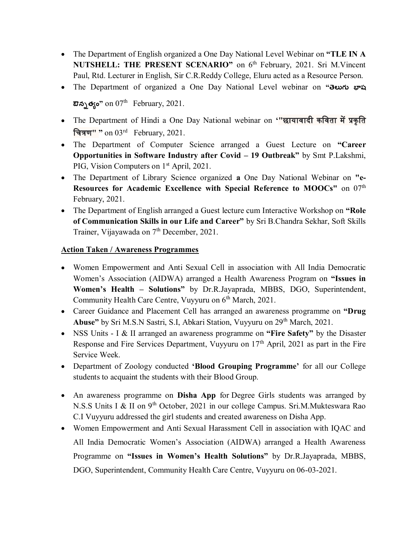- The Department of English organized a One Day National Level Webinar on **"TLE IN A NUTSHELL: THE PRESENT SCENARIO"** on 6<sup>th</sup> February, 2021. Sri M.Vincent Paul, Rtd. Lecturer in English, Sir C.R.Reddy College, Eluru acted as a Resource Person.
- The Department of organized a One Day National Level webinar on **"తెలుగు భాష**

**ఔన్నత్యం**" on 07<sup>th</sup> February, 2021.

- The Department of Hindi a One Day National webinar on '"छायावादी कविता में प्रकृति वित्रण**" "** on 03rd February, 2021.
- The Department of Computer Science arranged a Guest Lecture on **"Career Opportunities in Software Industry after Covid – 19 Outbreak"** by Smt P.Lakshmi, PIG, Vision Computers on 1<sup>st</sup> April, 2021.
- The Department of Library Science organized **a** One Day National Webinar on **"e-Resources for Academic Excellence with Special Reference to MOOCs"** on 07<sup>th</sup> February, 2021.
- The Department of English arranged a Guest lecture cum Interactive Workshop on **"Role of Communication Skills in our Life and Career"** by Sri B.Chandra Sekhar, Soft Skills Trainer, Vijayawada on 7<sup>th</sup> December, 2021.

#### **Action Taken / Awareness Programmes**

- Women Empowerment and Anti Sexual Cell in association with All India Democratic Women's Association (AIDWA) arranged a Health Awareness Program on **"Issues in Women's Health – Solutions"** by Dr.R.Jayaprada, MBBS, DGO, Superintendent, Community Health Care Centre, Vuyyuru on 6<sup>th</sup> March, 2021.
- Career Guidance and Placement Cell has arranged an awareness programme on **"Drug**  Abuse" by Sri M.S.N Sastri, S.I, Abkari Station, Vuyyuru on 29<sup>th</sup> March, 2021.
- NSS Units I & II arranged an awareness programme on **"Fire Safety"** by the Disaster Response and Fire Services Department, Vuyyuru on 17<sup>th</sup> April, 2021 as part in the Fire Service Week.
- Department of Zoology conducted **'Blood Grouping Programme'** for all our College students to acquaint the students with their Blood Group.
- An awareness programme on **Disha App** for Degree Girls students was arranged by N.S.S Units I & II on 9th October, 2021 in our college Campus. Sri.M.Mukteswara Rao C.I Vuyyuru addressed the girl students and created awareness on Disha App.
- Women Empowerment and Anti Sexual Harassment Cell in association with IQAC and All India Democratic Women's Association (AIDWA) arranged a Health Awareness Programme on **"Issues in Women's Health Solutions"** by Dr.R.Jayaprada, MBBS, DGO, Superintendent, Community Health Care Centre, Vuyyuru on 06-03-2021.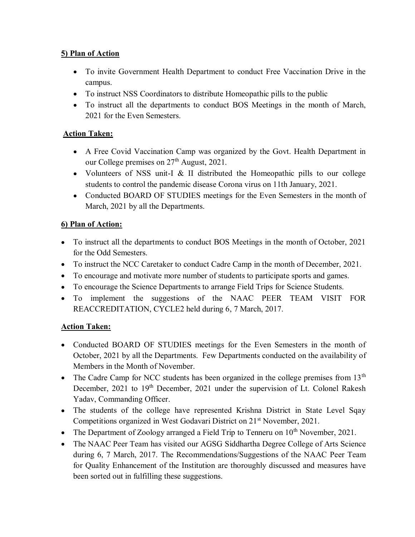## **5) Plan of Action**

- To invite Government Health Department to conduct Free Vaccination Drive in the campus.
- To instruct NSS Coordinators to distribute Homeopathic pills to the public
- To instruct all the departments to conduct BOS Meetings in the month of March, 2021 for the Even Semesters.

## **Action Taken:**

- A Free Covid Vaccination Camp was organized by the Govt. Health Department in our College premises on  $27<sup>th</sup>$  August, 2021.
- Volunteers of NSS unit-I & II distributed the Homeopathic pills to our college students to control the pandemic disease Corona virus on 11th January, 2021.
- Conducted BOARD OF STUDIES meetings for the Even Semesters in the month of March, 2021 by all the Departments.

## **6) Plan of Action:**

- To instruct all the departments to conduct BOS Meetings in the month of October, 2021 for the Odd Semesters.
- To instruct the NCC Caretaker to conduct Cadre Camp in the month of December, 2021.
- To encourage and motivate more number of students to participate sports and games.
- To encourage the Science Departments to arrange Field Trips for Science Students.
- To implement the suggestions of the NAAC PEER TEAM VISIT FOR REACCREDITATION, CYCLE2 held during 6, 7 March, 2017.

## **Action Taken:**

- Conducted BOARD OF STUDIES meetings for the Even Semesters in the month of October, 2021 by all the Departments. Few Departments conducted on the availability of Members in the Month of November.
- The Cadre Camp for NCC students has been organized in the college premises from  $13<sup>th</sup>$ December, 2021 to 19<sup>th</sup> December, 2021 under the supervision of Lt. Colonel Rakesh Yadav, Commanding Officer.
- The students of the college have represented Krishna District in State Level Sqay Competitions organized in West Godavari District on 21<sup>st</sup> November, 2021.
- The Department of Zoology arranged a Field Trip to Tenneru on  $10<sup>th</sup>$  November, 2021.
- The NAAC Peer Team has visited our AGSG Siddhartha Degree College of Arts Science during 6, 7 March, 2017. The Recommendations/Suggestions of the NAAC Peer Team for Quality Enhancement of the Institution are thoroughly discussed and measures have been sorted out in fulfilling these suggestions.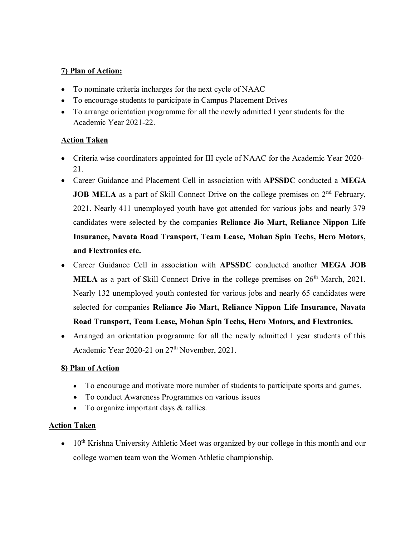### **7) Plan of Action:**

- To nominate criteria incharges for the next cycle of NAAC
- To encourage students to participate in Campus Placement Drives
- To arrange orientation programme for all the newly admitted I year students for the Academic Year 2021-22.

### **Action Taken**

- Criteria wise coordinators appointed for III cycle of NAAC for the Academic Year 2020- 21.
- Career Guidance and Placement Cell in association with **APSSDC** conducted a **MEGA JOB MELA** as a part of Skill Connect Drive on the college premises on 2<sup>nd</sup> February, 2021. Nearly 411 unemployed youth have got attended for various jobs and nearly 379 candidates were selected by the companies **Reliance Jio Mart, Reliance Nippon Life Insurance, Navata Road Transport, Team Lease, Mohan Spin Techs, Hero Motors, and Flextronics etc.**
- Career Guidance Cell in association with **APSSDC** conducted another **MEGA JOB MELA** as a part of Skill Connect Drive in the college premises on  $26<sup>th</sup>$  March, 2021. Nearly 132 unemployed youth contested for various jobs and nearly 65 candidates were selected for companies **Reliance Jio Mart, Reliance Nippon Life Insurance, Navata Road Transport, Team Lease, Mohan Spin Techs, Hero Motors, and Flextronics.**
- Arranged an orientation programme for all the newly admitted I year students of this Academic Year 2020-21 on 27<sup>th</sup> November, 2021.

#### **8) Plan of Action**

- To encourage and motivate more number of students to participate sports and games.
- To conduct Awareness Programmes on various issues
- To organize important days & rallies.

#### **Action Taken**

 $\bullet$  10<sup>th</sup> Krishna University Athletic Meet was organized by our college in this month and our college women team won the Women Athletic championship.